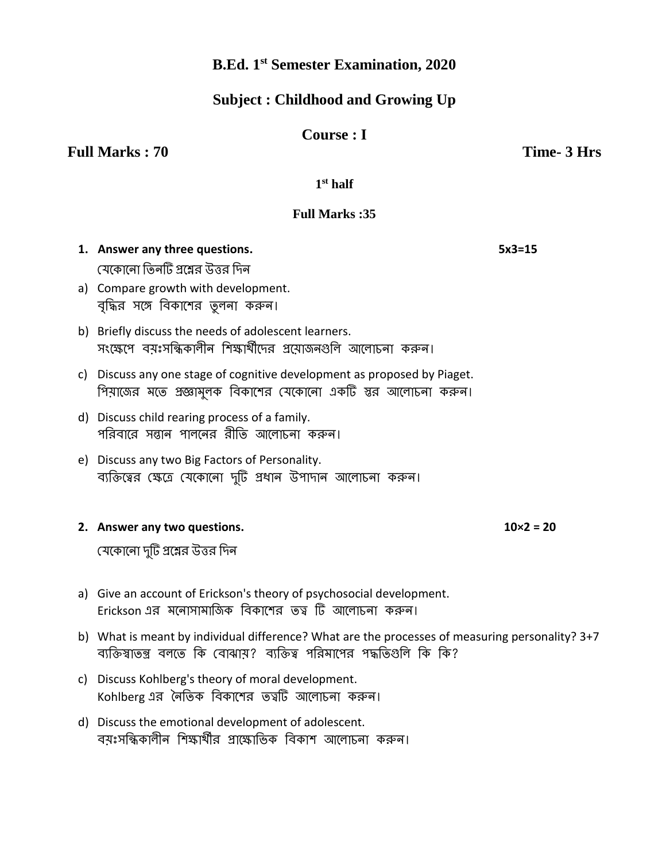# **B.Ed. 1 st Semester Examination, 2020**

## **Subject : Childhood and Growing Up**

## **Course : I**

**Full Marks : 70** Time- 3 Hrs

**1 st half**

## **Full Marks :35**

- **1. Answer any three questions. 5x3=15** যেকোনো তিনটি প্রশ্নের উত্তর দিন
- a) Compare growth with development. বৃদ্ধির সঙ্গে বিকাশের তুলনা করুন।
- b) Briefly discuss the needs of adolescent learners. সংক্ষেপে বয়ঃসন্ধিকালীন শিক্ষার্থীদের প্রযোজনগুলি আলোচনা করুন।
- c) Discuss any one stage of cognitive development as proposed by Piaget. পিয়াজের মতে প্রজ্ঞামুলক বিকাশের যেকোনো একটি স্তর আলোচনা করুন।
- d) Discuss child rearing process of a family. পরিবারে সন্তান পালনের রীতি আলোচনা করুন।
- e) Discuss any two Big Factors of Personality. ব্যক্তিত্বের ক্ষেত্রে যেকোনো দুটি প্রধান উপাদান আলোচনা করুন।

### **2. Answer any two questions. 10×2 = 20**

যেকোনো দুটি প্রশ্নের উত্তর দিন

- a) Give an account of Erickson's theory of psychosocial development. Erickson এর মনোসামাজিক বিকাশের তত্ব টি আলোচনা করুন।
- b) What is meant by individual difference? What are the processes of measuring personality? 3+7 ব্যক্তিস্বাতন্ত্র বলতে কি বোঝায়? ব্যক্তিত্ব পরিমাপের পদ্ধতিগুলি কি কি?
- c) Discuss Kohlberg's theory of moral development. Kohlberg এর নৈতিক বিকাশের তত্বটি আলোচনা করুন।
- d) Discuss the emotional development of adolescent. বয়ঃসন্ধিকালীন শিক্ষার্থীর প্রাক্ষোভিক বিকাশ আলোচনা করুন।